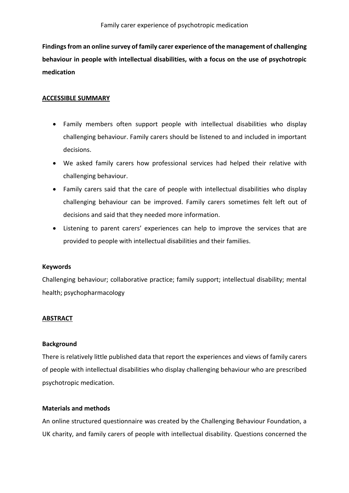**Findings from an online survey of family carer experience of the management of challenging behaviour in people with intellectual disabilities, with a focus on the use of psychotropic medication**

## **ACCESSIBLE SUMMARY**

- Family members often support people with intellectual disabilities who display challenging behaviour. Family carers should be listened to and included in important decisions.
- We asked family carers how professional services had helped their relative with challenging behaviour.
- Family carers said that the care of people with intellectual disabilities who display challenging behaviour can be improved. Family carers sometimes felt left out of decisions and said that they needed more information.
- Listening to parent carers' experiences can help to improve the services that are provided to people with intellectual disabilities and their families.

## **Keywords**

Challenging behaviour; collaborative practice; family support; intellectual disability; mental health; psychopharmacology

## **ABSTRACT**

#### **Background**

There is relatively little published data that report the experiences and views of family carers of people with intellectual disabilities who display challenging behaviour who are prescribed psychotropic medication.

#### **Materials and methods**

An online structured questionnaire was created by the Challenging Behaviour Foundation, a UK charity, and family carers of people with intellectual disability. Questions concerned the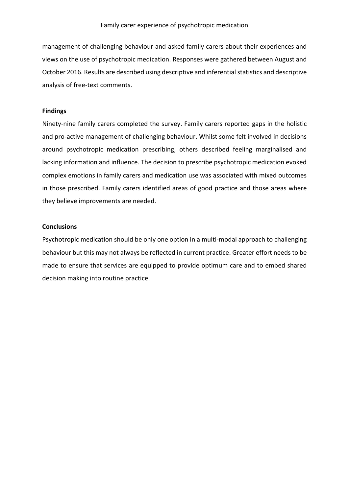management of challenging behaviour and asked family carers about their experiences and views on the use of psychotropic medication. Responses were gathered between August and October 2016. Results are described using descriptive and inferential statistics and descriptive analysis of free-text comments.

### **Findings**

Ninety-nine family carers completed the survey. Family carers reported gaps in the holistic and pro-active management of challenging behaviour. Whilst some felt involved in decisions around psychotropic medication prescribing, others described feeling marginalised and lacking information and influence. The decision to prescribe psychotropic medication evoked complex emotions in family carers and medication use was associated with mixed outcomes in those prescribed. Family carers identified areas of good practice and those areas where they believe improvements are needed.

### **Conclusions**

Psychotropic medication should be only one option in a multi-modal approach to challenging behaviour but this may not always be reflected in current practice. Greater effort needs to be made to ensure that services are equipped to provide optimum care and to embed shared decision making into routine practice.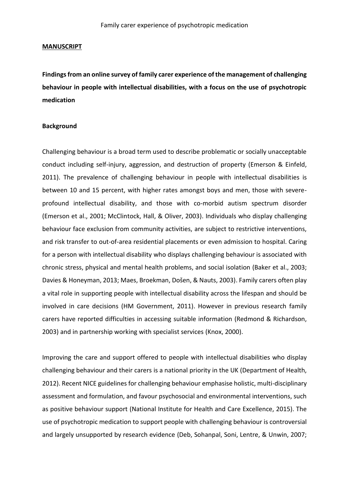#### **MANUSCRIPT**

**Findings from an online survey of family carer experience of the management of challenging behaviour in people with intellectual disabilities, with a focus on the use of psychotropic medication**

#### **Background**

Challenging behaviour is a broad term used to describe problematic or socially unacceptable conduct including self-injury, aggression, and destruction of property (Emerson & Einfeld, 2011). The prevalence of challenging behaviour in people with intellectual disabilities is between 10 and 15 percent, with higher rates amongst boys and men, those with severeprofound intellectual disability, and those with co-morbid autism spectrum disorder (Emerson et al., 2001; McClintock, Hall, & Oliver, 2003). Individuals who display challenging behaviour face exclusion from community activities, are subject to restrictive interventions, and risk transfer to out-of-area residential placements or even admission to hospital. Caring for a person with intellectual disability who displays challenging behaviour is associated with chronic stress, physical and mental health problems, and social isolation (Baker et al., 2003; Davies & Honeyman, 2013; Maes, Broekman, Došen, & Nauts, 2003). Family carers often play a vital role in supporting people with intellectual disability across the lifespan and should be involved in care decisions (HM Government, 2011). However in previous research family carers have reported difficulties in accessing suitable information (Redmond & Richardson, 2003) and in partnership working with specialist services (Knox, 2000).

Improving the care and support offered to people with intellectual disabilities who display challenging behaviour and their carers is a national priority in the UK (Department of Health, 2012). Recent NICE guidelines for challenging behaviour emphasise holistic, multi-disciplinary assessment and formulation, and favour psychosocial and environmental interventions, such as positive behaviour support (National Institute for Health and Care Excellence, 2015). The use of psychotropic medication to support people with challenging behaviour is controversial and largely unsupported by research evidence (Deb, Sohanpal, Soni, Lentre, & Unwin, 2007;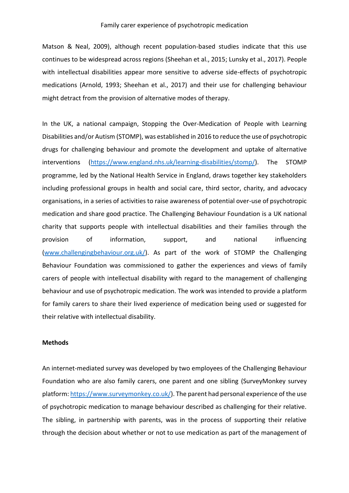Matson & Neal, 2009), although recent population-based studies indicate that this use continues to be widespread across regions (Sheehan et al., 2015; Lunsky et al., 2017). People with intellectual disabilities appear more sensitive to adverse side-effects of psychotropic medications (Arnold, 1993; Sheehan et al., 2017) and their use for challenging behaviour might detract from the provision of alternative modes of therapy.

In the UK, a national campaign, Stopping the Over-Medication of People with Learning Disabilities and/or Autism (STOMP), was established in 2016 to reduce the use of psychotropic drugs for challenging behaviour and promote the development and uptake of alternative interventions [\(https://www.england.nhs.uk/learning-disabilities/stomp/\)](https://www.england.nhs.uk/learning-disabilities/stomp/). The STOMP programme, led by the National Health Service in England, draws together key stakeholders including professional groups in health and social care, third sector, charity, and advocacy organisations, in a series of activities to raise awareness of potential over-use of psychotropic medication and share good practice. The Challenging Behaviour Foundation is a UK national charity that supports people with intellectual disabilities and their families through the provision of information, support, and national influencing [\(www.challengingbehaviour.org.uk/\)](http://www.challengingbehaviour.org.uk/). As part of the work of STOMP the Challenging Behaviour Foundation was commissioned to gather the experiences and views of family carers of people with intellectual disability with regard to the management of challenging behaviour and use of psychotropic medication. The work was intended to provide a platform for family carers to share their lived experience of medication being used or suggested for their relative with intellectual disability.

## **Methods**

An internet-mediated survey was developed by two employees of the Challenging Behaviour Foundation who are also family carers, one parent and one sibling (SurveyMonkey survey platform: [https://www.surveymonkey.co.uk/\)](https://www.surveymonkey.co.uk/). The parent had personal experience of the use of psychotropic medication to manage behaviour described as challenging for their relative. The sibling, in partnership with parents, was in the process of supporting their relative through the decision about whether or not to use medication as part of the management of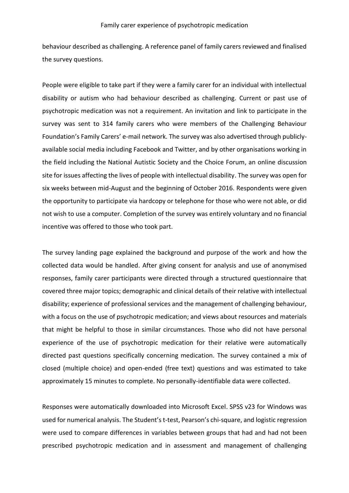behaviour described as challenging. A reference panel of family carers reviewed and finalised the survey questions.

People were eligible to take part if they were a family carer for an individual with intellectual disability or autism who had behaviour described as challenging. Current or past use of psychotropic medication was not a requirement. An invitation and link to participate in the survey was sent to 314 family carers who were members of the Challenging Behaviour Foundation's Family Carers' e-mail network. The survey was also advertised through publiclyavailable social media including Facebook and Twitter, and by other organisations working in the field including the National Autistic Society and the Choice Forum, an online discussion site for issues affecting the lives of people with intellectual disability. The survey was open for six weeks between mid-August and the beginning of October 2016. Respondents were given the opportunity to participate via hardcopy or telephone for those who were not able, or did not wish to use a computer. Completion of the survey was entirely voluntary and no financial incentive was offered to those who took part.

The survey landing page explained the background and purpose of the work and how the collected data would be handled. After giving consent for analysis and use of anonymised responses, family carer participants were directed through a structured questionnaire that covered three major topics; demographic and clinical details of their relative with intellectual disability; experience of professional services and the management of challenging behaviour, with a focus on the use of psychotropic medication; and views about resources and materials that might be helpful to those in similar circumstances. Those who did not have personal experience of the use of psychotropic medication for their relative were automatically directed past questions specifically concerning medication. The survey contained a mix of closed (multiple choice) and open-ended (free text) questions and was estimated to take approximately 15 minutes to complete. No personally-identifiable data were collected.

Responses were automatically downloaded into Microsoft Excel. SPSS v23 for Windows was used for numerical analysis. The Student's t-test, Pearson's chi-square, and logistic regression were used to compare differences in variables between groups that had and had not been prescribed psychotropic medication and in assessment and management of challenging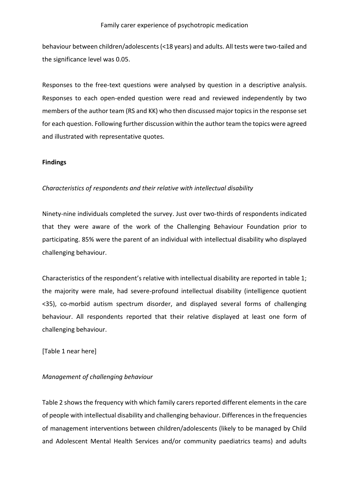behaviour between children/adolescents (<18 years) and adults. All tests were two-tailed and the significance level was 0.05.

Responses to the free-text questions were analysed by question in a descriptive analysis. Responses to each open-ended question were read and reviewed independently by two members of the author team (RS and KK) who then discussed major topics in the response set for each question. Following further discussion within the author team the topics were agreed and illustrated with representative quotes.

### **Findings**

## *Characteristics of respondents and their relative with intellectual disability*

Ninety-nine individuals completed the survey. Just over two-thirds of respondents indicated that they were aware of the work of the Challenging Behaviour Foundation prior to participating. 85% were the parent of an individual with intellectual disability who displayed challenging behaviour.

Characteristics of the respondent's relative with intellectual disability are reported in table 1; the majority were male, had severe-profound intellectual disability (intelligence quotient <35), co-morbid autism spectrum disorder, and displayed several forms of challenging behaviour. All respondents reported that their relative displayed at least one form of challenging behaviour.

[Table 1 near here]

## *Management of challenging behaviour*

Table 2 shows the frequency with which family carers reported different elements in the care of people with intellectual disability and challenging behaviour. Differences in the frequencies of management interventions between children/adolescents (likely to be managed by Child and Adolescent Mental Health Services and/or community paediatrics teams) and adults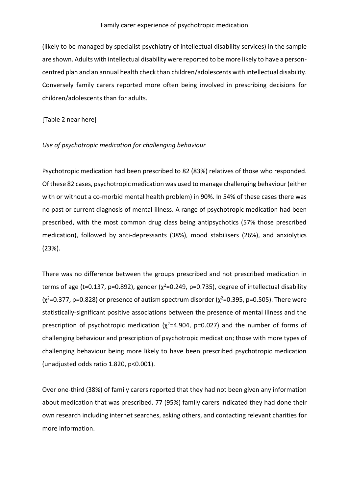(likely to be managed by specialist psychiatry of intellectual disability services) in the sample are shown. Adults with intellectual disability were reported to be more likely to have a personcentred plan and an annual health check than children/adolescents with intellectual disability. Conversely family carers reported more often being involved in prescribing decisions for children/adolescents than for adults.

[Table 2 near here]

### *Use of psychotropic medication for challenging behaviour*

Psychotropic medication had been prescribed to 82 (83%) relatives of those who responded. Of these 82 cases, psychotropic medication was used to manage challenging behaviour (either with or without a co-morbid mental health problem) in 90%. In 54% of these cases there was no past or current diagnosis of mental illness. A range of psychotropic medication had been prescribed, with the most common drug class being antipsychotics (57% those prescribed medication), followed by anti-depressants (38%), mood stabilisers (26%), and anxiolytics (23%).

There was no difference between the groups prescribed and not prescribed medication in terms of age (t=0.137, p=0.892), gender ( $\chi^2$ =0.249, p=0.735), degree of intellectual disability  $(x^2=0.377, p=0.828)$  or presence of autism spectrum disorder  $(x^2=0.395, p=0.505)$ . There were statistically-significant positive associations between the presence of mental illness and the prescription of psychotropic medication ( $\chi^2$ =4.904, p=0.027) and the number of forms of challenging behaviour and prescription of psychotropic medication; those with more types of challenging behaviour being more likely to have been prescribed psychotropic medication (unadjusted odds ratio 1.820, p<0.001).

Over one-third (38%) of family carers reported that they had not been given any information about medication that was prescribed. 77 (95%) family carers indicated they had done their own research including internet searches, asking others, and contacting relevant charities for more information.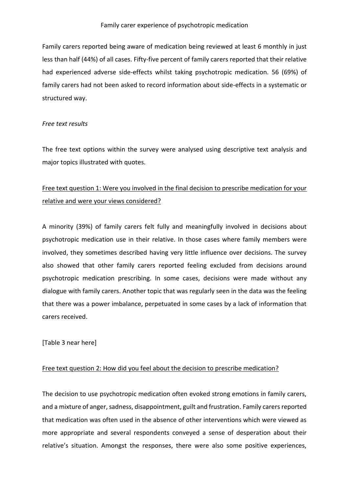Family carers reported being aware of medication being reviewed at least 6 monthly in just less than half (44%) of all cases. Fifty-five percent of family carers reported that their relative had experienced adverse side-effects whilst taking psychotropic medication. 56 (69%) of family carers had not been asked to record information about side-effects in a systematic or structured way.

### *Free text results*

The free text options within the survey were analysed using descriptive text analysis and major topics illustrated with quotes.

## Free text question 1: Were you involved in the final decision to prescribe medication for your relative and were your views considered?

A minority (39%) of family carers felt fully and meaningfully involved in decisions about psychotropic medication use in their relative. In those cases where family members were involved, they sometimes described having very little influence over decisions. The survey also showed that other family carers reported feeling excluded from decisions around psychotropic medication prescribing. In some cases, decisions were made without any dialogue with family carers. Another topic that was regularly seen in the data was the feeling that there was a power imbalance, perpetuated in some cases by a lack of information that carers received.

[Table 3 near here]

## Free text question 2: How did you feel about the decision to prescribe medication?

The decision to use psychotropic medication often evoked strong emotions in family carers, and a mixture of anger, sadness, disappointment, guilt and frustration. Family carers reported that medication was often used in the absence of other interventions which were viewed as more appropriate and several respondents conveyed a sense of desperation about their relative's situation. Amongst the responses, there were also some positive experiences,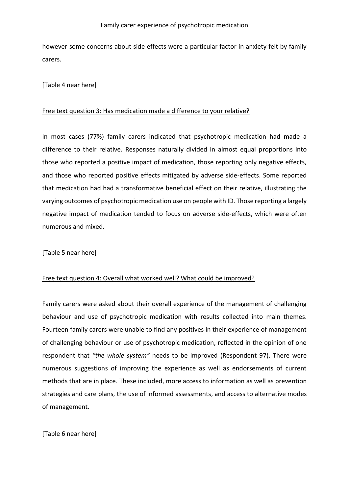however some concerns about side effects were a particular factor in anxiety felt by family carers.

[Table 4 near here]

### Free text question 3: Has medication made a difference to your relative?

In most cases (77%) family carers indicated that psychotropic medication had made a difference to their relative. Responses naturally divided in almost equal proportions into those who reported a positive impact of medication, those reporting only negative effects, and those who reported positive effects mitigated by adverse side-effects. Some reported that medication had had a transformative beneficial effect on their relative, illustrating the varying outcomes of psychotropic medication use on people with ID. Those reporting a largely negative impact of medication tended to focus on adverse side-effects, which were often numerous and mixed.

[Table 5 near here]

## Free text question 4: Overall what worked well? What could be improved?

Family carers were asked about their overall experience of the management of challenging behaviour and use of psychotropic medication with results collected into main themes. Fourteen family carers were unable to find any positives in their experience of management of challenging behaviour or use of psychotropic medication, reflected in the opinion of one respondent that *"the whole system"* needs to be improved (Respondent 97). There were numerous suggestions of improving the experience as well as endorsements of current methods that are in place. These included, more access to information as well as prevention strategies and care plans, the use of informed assessments, and access to alternative modes of management.

[Table 6 near here]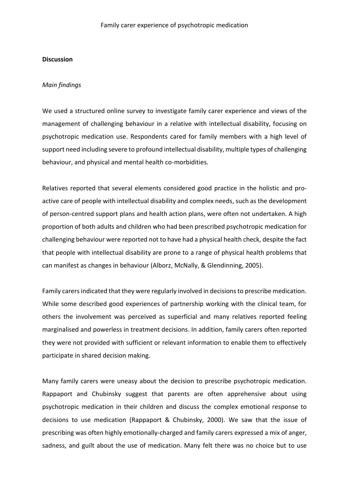#### **Discussion**

#### *Main findings*

We used a structured online survey to investigate family carer experience and views of the management of challenging behaviour in a relative with intellectual disability, focusing on psychotropic medication use. Respondents cared for family members with a high level of support need including severe to profound intellectual disability, multiple types of challenging behaviour, and physical and mental health co-morbidities.

Relatives reported that several elements considered good practice in the holistic and proactive care of people with intellectual disability and complex needs, such as the development of person-centred support plans and health action plans, were often not undertaken. A high proportion of both adults and children who had been prescribed psychotropic medication for challenging behaviour were reported not to have had a physical health check, despite the fact that people with intellectual disability are prone to a range of physical health problems that can manifest as changes in behaviour (Alborz, McNally, & Glendinning, 2005).

Family carers indicated that they were regularly involved in decisions to prescribe medication. While some described good experiences of partnership working with the clinical team, for others the involvement was perceived as superficial and many relatives reported feeling marginalised and powerless in treatment decisions. In addition, family carers often reported they were not provided with sufficient or relevant information to enable them to effectively participate in shared decision making.

Many family carers were uneasy about the decision to prescribe psychotropic medication. Rappaport and Chubinsky suggest that parents are often apprehensive about using psychotropic medication in their children and discuss the complex emotional response to decisions to use medication (Rappaport & Chubinsky, 2000). We saw that the issue of prescribing was often highly emotionally-charged and family carers expressed a mix of anger, sadness, and guilt about the use of medication. Many felt there was no choice but to use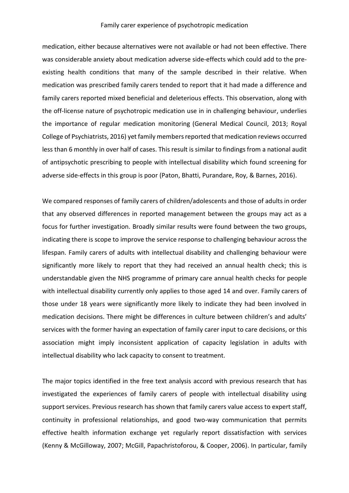medication, either because alternatives were not available or had not been effective. There was considerable anxiety about medication adverse side-effects which could add to the preexisting health conditions that many of the sample described in their relative. When medication was prescribed family carers tended to report that it had made a difference and family carers reported mixed beneficial and deleterious effects. This observation, along with the off-license nature of psychotropic medication use in in challenging behaviour, underlies the importance of regular medication monitoring (General Medical Council, 2013; Royal College of Psychiatrists, 2016) yet family members reported that medication reviews occurred less than 6 monthly in over half of cases. This result is similar to findings from a national audit of antipsychotic prescribing to people with intellectual disability which found screening for adverse side-effects in this group is poor (Paton, Bhatti, Purandare, Roy, & Barnes, 2016).

We compared responses of family carers of children/adolescents and those of adults in order that any observed differences in reported management between the groups may act as a focus for further investigation. Broadly similar results were found between the two groups, indicating there is scope to improve the service response to challenging behaviour across the lifespan. Family carers of adults with intellectual disability and challenging behaviour were significantly more likely to report that they had received an annual health check; this is understandable given the NHS programme of primary care annual health checks for people with intellectual disability currently only applies to those aged 14 and over. Family carers of those under 18 years were significantly more likely to indicate they had been involved in medication decisions. There might be differences in culture between children's and adults' services with the former having an expectation of family carer input to care decisions, or this association might imply inconsistent application of capacity legislation in adults with intellectual disability who lack capacity to consent to treatment.

The major topics identified in the free text analysis accord with previous research that has investigated the experiences of family carers of people with intellectual disability using support services. Previous research has shown that family carers value access to expert staff, continuity in professional relationships, and good two-way communication that permits effective health information exchange yet regularly report dissatisfaction with services (Kenny & McGilloway, 2007; McGill, Papachristoforou, & Cooper, 2006). In particular, family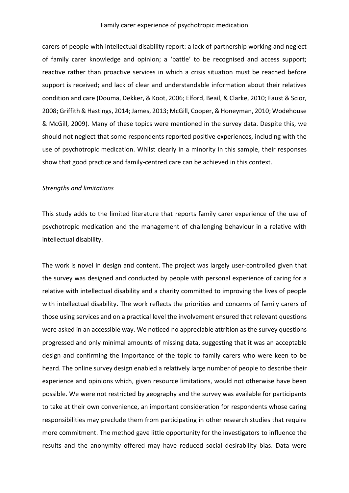carers of people with intellectual disability report: a lack of partnership working and neglect of family carer knowledge and opinion; a 'battle' to be recognised and access support; reactive rather than proactive services in which a crisis situation must be reached before support is received; and lack of clear and understandable information about their relatives condition and care (Douma, Dekker, & Koot, 2006; Elford, Beail, & Clarke, 2010; Faust & Scior, 2008; Griffith & Hastings, 2014; James, 2013; McGill, Cooper, & Honeyman, 2010; Wodehouse & McGill, 2009). Many of these topics were mentioned in the survey data. Despite this, we should not neglect that some respondents reported positive experiences, including with the use of psychotropic medication. Whilst clearly in a minority in this sample, their responses show that good practice and family-centred care can be achieved in this context.

### *Strengths and limitations*

This study adds to the limited literature that reports family carer experience of the use of psychotropic medication and the management of challenging behaviour in a relative with intellectual disability.

The work is novel in design and content. The project was largely user-controlled given that the survey was designed and conducted by people with personal experience of caring for a relative with intellectual disability and a charity committed to improving the lives of people with intellectual disability. The work reflects the priorities and concerns of family carers of those using services and on a practical level the involvement ensured that relevant questions were asked in an accessible way. We noticed no appreciable attrition as the survey questions progressed and only minimal amounts of missing data, suggesting that it was an acceptable design and confirming the importance of the topic to family carers who were keen to be heard. The online survey design enabled a relatively large number of people to describe their experience and opinions which, given resource limitations, would not otherwise have been possible. We were not restricted by geography and the survey was available for participants to take at their own convenience, an important consideration for respondents whose caring responsibilities may preclude them from participating in other research studies that require more commitment. The method gave little opportunity for the investigators to influence the results and the anonymity offered may have reduced social desirability bias. Data were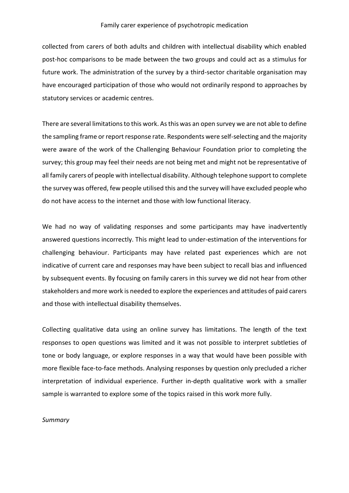collected from carers of both adults and children with intellectual disability which enabled post-hoc comparisons to be made between the two groups and could act as a stimulus for future work. The administration of the survey by a third-sector charitable organisation may have encouraged participation of those who would not ordinarily respond to approaches by statutory services or academic centres.

There are several limitations to this work. As this was an open survey we are not able to define the sampling frame or report response rate. Respondents were self-selecting and the majority were aware of the work of the Challenging Behaviour Foundation prior to completing the survey; this group may feel their needs are not being met and might not be representative of all family carers of people with intellectual disability. Although telephone support to complete the survey was offered, few people utilised this and the survey will have excluded people who do not have access to the internet and those with low functional literacy.

We had no way of validating responses and some participants may have inadvertently answered questions incorrectly. This might lead to under-estimation of the interventions for challenging behaviour. Participants may have related past experiences which are not indicative of current care and responses may have been subject to recall bias and influenced by subsequent events. By focusing on family carers in this survey we did not hear from other stakeholders and more work is needed to explore the experiences and attitudes of paid carers and those with intellectual disability themselves.

Collecting qualitative data using an online survey has limitations. The length of the text responses to open questions was limited and it was not possible to interpret subtleties of tone or body language, or explore responses in a way that would have been possible with more flexible face-to-face methods. Analysing responses by question only precluded a richer interpretation of individual experience. Further in-depth qualitative work with a smaller sample is warranted to explore some of the topics raised in this work more fully.

#### *Summary*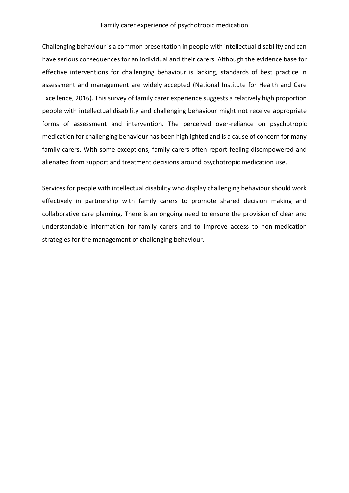Challenging behaviour is a common presentation in people with intellectual disability and can have serious consequences for an individual and their carers. Although the evidence base for effective interventions for challenging behaviour is lacking, standards of best practice in assessment and management are widely accepted (National Institute for Health and Care Excellence, 2016). This survey of family carer experience suggests a relatively high proportion people with intellectual disability and challenging behaviour might not receive appropriate forms of assessment and intervention. The perceived over-reliance on psychotropic medication for challenging behaviour has been highlighted and is a cause of concern for many family carers. With some exceptions, family carers often report feeling disempowered and alienated from support and treatment decisions around psychotropic medication use.

Services for people with intellectual disability who display challenging behaviour should work effectively in partnership with family carers to promote shared decision making and collaborative care planning. There is an ongoing need to ensure the provision of clear and understandable information for family carers and to improve access to non-medication strategies for the management of challenging behaviour.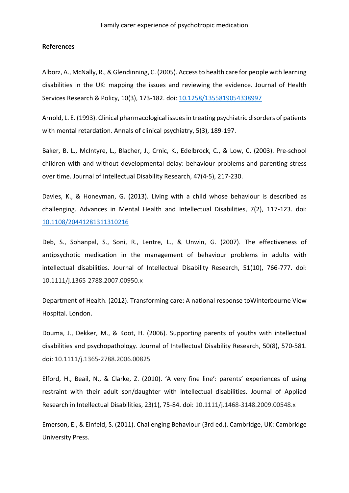#### **References**

Alborz, A., McNally, R., &Glendinning, C. (2005). Access to health care for people with learning disabilities in the UK: mapping the issues and reviewing the evidence. Journal of Health Services Research & Policy, 10(3), 173-182. doi: [10.1258/1355819054338997](https://doi.org/10.1258/1355819054338997)

Arnold, L. E. (1993). Clinical pharmacological issues in treating psychiatric disorders of patients with mental retardation. Annals of clinical psychiatry, 5(3), 189-197.

Baker, B. L., McIntyre, L., Blacher, J., Crnic, K., Edelbrock, C., & Low, C. (2003). Pre‐school children with and without developmental delay: behaviour problems and parenting stress over time. Journal of Intellectual Disability Research, 47(4‐5), 217-230.

Davies, K., & Honeyman, G. (2013). Living with a child whose behaviour is described as challenging. Advances in Mental Health and Intellectual Disabilities, 7(2), 117-123. doi: [10.1108/20441281311310216](https://doi.org/10.1108/20441281311310216)

Deb, S., Sohanpal, S., Soni, R., Lentre, L., & Unwin, G. (2007). The effectiveness of antipsychotic medication in the management of behaviour problems in adults with intellectual disabilities. Journal of Intellectual Disability Research, 51(10), 766-777. doi: 10.1111/j.1365-2788.2007.00950.x

Department of Health. (2012). Transforming care: A national response toWinterbourne View Hospital. London.

Douma, J., Dekker, M., & Koot, H. (2006). Supporting parents of youths with intellectual disabilities and psychopathology. Journal of Intellectual Disability Research, 50(8), 570-581. doi: 10.1111/j.1365-2788.2006.00825

Elford, H., Beail, N., & Clarke, Z. (2010). 'A very fine line': parents' experiences of using restraint with their adult son/daughter with intellectual disabilities. Journal of Applied Research in Intellectual Disabilities, 23(1), 75-84. doi: 10.1111/j.1468-3148.2009.00548.x

Emerson, E., & Einfeld, S. (2011). Challenging Behaviour (3rd ed.). Cambridge, UK: Cambridge University Press.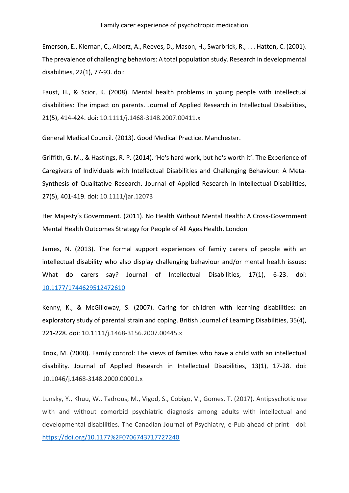Emerson, E., Kiernan, C., Alborz, A., Reeves, D., Mason, H., Swarbrick, R., . . . Hatton, C. (2001). The prevalence of challenging behaviors: A total population study. Research in developmental disabilities, 22(1), 77-93. doi:

Faust, H., & Scior, K. (2008). Mental health problems in young people with intellectual disabilities: The impact on parents. Journal of Applied Research in Intellectual Disabilities, 21(5), 414-424. doi: 10.1111/j.1468-3148.2007.00411.x

General Medical Council. (2013). Good Medical Practice. Manchester.

Griffith, G. M., & Hastings, R. P. (2014). 'He's hard work, but he's worth it'. The Experience of Caregivers of Individuals with Intellectual Disabilities and Challenging Behaviour: A Meta‐ Synthesis of Qualitative Research. Journal of Applied Research in Intellectual Disabilities, 27(5), 401-419. doi: 10.1111/jar.12073

Her Majesty's Government. (2011). No Health Without Mental Health: A Cross-Government Mental Health Outcomes Strategy for People of All Ages Health. London

James, N. (2013). The formal support experiences of family carers of people with an intellectual disability who also display challenging behaviour and/or mental health issues: What do carers say? Journal of Intellectual Disabilities, 17(1), 6-23. doi: [10.1177/1744629512472610](https://doi.org/10.1177/1744629512472610)

Kenny, K., & McGilloway, S. (2007). Caring for children with learning disabilities: an exploratory study of parental strain and coping. British Journal of Learning Disabilities, 35(4), 221-228. doi: 10.1111/j.1468-3156.2007.00445.x

Knox, M. (2000). Family control: The views of families who have a child with an intellectual disability. Journal of Applied Research in Intellectual Disabilities, 13(1), 17-28. doi: 10.1046/j.1468-3148.2000.00001.x

Lunsky, Y., Khuu, W., Tadrous, M., Vigod, S., Cobigo, V., Gomes, T. (2017). Antipsychotic use with and without comorbid psychiatric diagnosis among adults with intellectual and developmental disabilities. The Canadian Journal of Psychiatry, e-Pub ahead of print doi: <https://doi.org/10.1177%2F0706743717727240>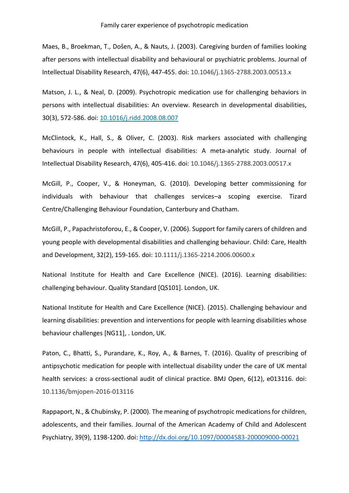Maes, B., Broekman, T., Došen, A., & Nauts, J. (2003). Caregiving burden of families looking after persons with intellectual disability and behavioural or psychiatric problems. Journal of Intellectual Disability Research, 47(6), 447-455. doi: 10.1046/j.1365-2788.2003.00513.x

Matson, J. L., & Neal, D. (2009). Psychotropic medication use for challenging behaviors in persons with intellectual disabilities: An overview. Research in developmental disabilities, 30(3), 572-586. doi: [10.1016/j.ridd.2008.08.007](https://doi.org/10.1016/j.ridd.2008.08.007)

McClintock, K., Hall, S., & Oliver, C. (2003). Risk markers associated with challenging behaviours in people with intellectual disabilities: A meta‐analytic study. Journal of Intellectual Disability Research, 47(6), 405-416. doi: 10.1046/j.1365-2788.2003.00517.x

McGill, P., Cooper, V., & Honeyman, G. (2010). Developing better commissioning for individuals with behaviour that challenges services–a scoping exercise. Tizard Centre/Challenging Behaviour Foundation, Canterbury and Chatham.

McGill, P., Papachristoforou, E., & Cooper, V. (2006). Support for family carers of children and young people with developmental disabilities and challenging behaviour. Child: Care, Health and Development, 32(2), 159-165. doi: 10.1111/j.1365-2214.2006.00600.x

National Institute for Health and Care Excellence (NICE). (2016). Learning disabilities: challenging behaviour. Quality Standard [QS101]. London, UK.

National Institute for Health and Care Excellence (NICE). (2015). Challenging behaviour and learning disabilities: prevention and interventions for people with learning disabilities whose behaviour challenges [NG11], . London, UK.

Paton, C., Bhatti, S., Purandare, K., Roy, A., & Barnes, T. (2016). Quality of prescribing of antipsychotic medication for people with intellectual disability under the care of UK mental health services: a cross-sectional audit of clinical practice. BMJ Open, 6(12), e013116. doi: 10.1136/bmjopen-2016-013116

Rappaport, N., & Chubinsky, P. (2000). The meaning of psychotropic medications for children, adolescents, and their families. Journal of the American Academy of Child and Adolescent Psychiatry, 39(9), 1198-1200. doi:<http://dx.doi.org/10.1097/00004583-200009000-00021>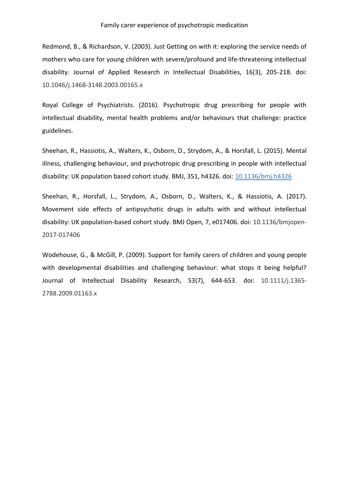Redmond, B., & Richardson, V. (2003). Just Getting on with it: exploring the service needs of mothers who care for young children with severe/profound and life‐threatening intellectual disability. Journal of Applied Research in Intellectual Disabilities, 16(3), 205-218. doi: 10.1046/j.1468-3148.2003.00165.x

Royal College of Psychiatrists. (2016). Psychotropic drug prescribing for people with intellectual disability, mental health problems and/or behaviours that challenge: practice guidelines.

Sheehan, R., Hassiotis, A., Walters, K., Osborn, D., Strydom, A., & Horsfall, L. (2015). Mental illness, challenging behaviour, and psychotropic drug prescribing in people with intellectual disability: UK population based cohort study. BMJ, 351, h4326. doi: [10.1136/bmj.h4326](https://doi.org/10.1136/bmj.h4326)

Sheehan, R., Horsfall, L., Strydom, A., Osborn, D., Walters, K., & Hassiotis, A. (2017). Movement side effects of antipsychotic drugs in adults with and without intellectual disability: UK population-based cohort study. BMJ Open, 7, e017406. doi: 10.1136/bmjopen-2017-017406

Wodehouse, G., & McGill, P. (2009). Support for family carers of children and young people with developmental disabilities and challenging behaviour: what stops it being helpful? Journal of Intellectual Disability Research, 53(7), 644-653. doi: 10.1111/j.1365- 2788.2009.01163.x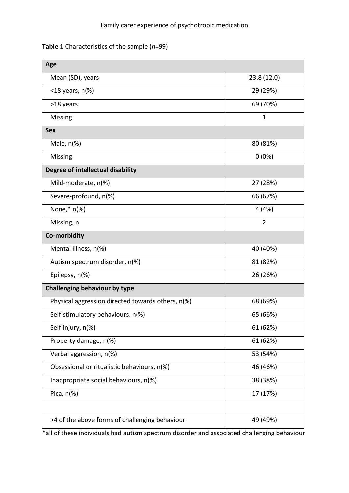## **Table 1** Characteristics of the sample (*n*=99)

| Age                                               |                |
|---------------------------------------------------|----------------|
| Mean (SD), years                                  | 23.8 (12.0)    |
| $<$ 18 years, n(%)                                | 29 (29%)       |
| >18 years                                         | 69 (70%)       |
| <b>Missing</b>                                    | $\mathbf{1}$   |
| <b>Sex</b>                                        |                |
| Male, $n(\%)$                                     | 80 (81%)       |
| Missing                                           | $0(0\%)$       |
| Degree of intellectual disability                 |                |
| Mild-moderate, n(%)                               | 27 (28%)       |
| Severe-profound, n(%)                             | 66 (67%)       |
| None, $*$ n(%)                                    | 4 (4%)         |
| Missing, n                                        | $\overline{2}$ |
| Co-morbidity                                      |                |
| Mental illness, n(%)                              | 40 (40%)       |
| Autism spectrum disorder, n(%)                    | 81 (82%)       |
| Epilepsy, n(%)                                    | 26 (26%)       |
| Challenging behaviour by type                     |                |
| Physical aggression directed towards others, n(%) | 68 (69%)       |
| Self-stimulatory behaviours, n(%)                 | 65 (66%)       |
| Self-injury, n(%)                                 | 61 (62%)       |
| Property damage, n(%)                             | 61 (62%)       |
| Verbal aggression, n(%)                           | 53 (54%)       |
| Obsessional or ritualistic behaviours, n(%)       | 46 (46%)       |
| Inappropriate social behaviours, n(%)             | 38 (38%)       |
| Pica, $n$ (%)                                     | 17 (17%)       |
|                                                   |                |
| >4 of the above forms of challenging behaviour    | 49 (49%)       |

\*all of these individuals had autism spectrum disorder and associated challenging behaviour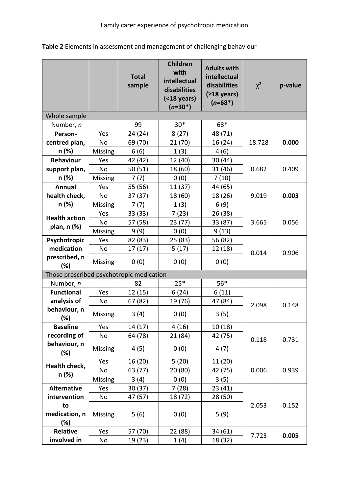|                                          |                | <b>Total</b><br>sample | Children<br>with<br>intellectual<br>disabilities<br>$( < 18$ years)<br>$(n=30*)$ | <b>Adults with</b><br>intellectual<br>disabilities<br>$(218 \text{ years})$<br>$(n=68*)$ | $\chi^2$ | p-value |
|------------------------------------------|----------------|------------------------|----------------------------------------------------------------------------------|------------------------------------------------------------------------------------------|----------|---------|
| Whole sample                             |                |                        |                                                                                  |                                                                                          |          |         |
| Number, n                                |                | 99                     | $30*$                                                                            | 68*                                                                                      |          |         |
| Person-                                  | Yes            | 24 (24)                | 8(27)                                                                            | 48 (71)                                                                                  |          |         |
| centred plan,                            | No             | 69 (70)                | 21 (70)                                                                          | 16 (24)                                                                                  | 18.728   | 0.000   |
| n (%)                                    | Missing        | 6(6)                   | 1(3)                                                                             | 4(6)                                                                                     |          |         |
| <b>Behaviour</b>                         | Yes            | 42 (42)                | 12 (40)                                                                          | 30 (44)                                                                                  |          |         |
| support plan,                            | <b>No</b>      | 50 (51)                | 18 (60)                                                                          | 31 (46)                                                                                  | 0.682    | 0.409   |
| n (%)                                    | Missing        | 7(7)                   | 0(0)                                                                             | 7(10)                                                                                    |          |         |
| <b>Annual</b>                            | Yes            | 55 (56)                | 11 (37)                                                                          | 44 (65)                                                                                  |          |         |
| health check,                            | <b>No</b>      | 37 (37)                | 18 (60)                                                                          | 18 (26)                                                                                  | 9.019    | 0.003   |
| n (%)                                    | Missing        | 7(7)                   | 1(3)                                                                             | 6(9)                                                                                     |          |         |
|                                          | Yes            | 33 (33)                | 7(23)                                                                            | 26 (38)                                                                                  |          |         |
| <b>Health action</b>                     | <b>No</b>      | 57 (58)                | 23 (77)                                                                          | 33 (87)                                                                                  | 3.665    | 0.056   |
| plan, n (%)                              | <b>Missing</b> | 9(9)                   | 0(0)                                                                             | 9(13)                                                                                    |          |         |
| Psychotropic                             | Yes            | 82 (83)                | 25 (83)                                                                          | 56 (82)                                                                                  |          |         |
| medication                               | <b>No</b>      | 17(17)                 | 5(17)                                                                            | 12 (18)                                                                                  | 0.014    | 0.906   |
| prescribed, n<br>(%)                     | Missing        | 0(0)                   | 0(0)                                                                             | 0(0)                                                                                     |          |         |
| Those prescribed psychotropic medication |                |                        |                                                                                  |                                                                                          |          |         |
| Number, n                                |                | 82                     | $25*$                                                                            | $56*$                                                                                    |          |         |
| <b>Functional</b>                        | Yes            | 12 (15)                | 6(24)                                                                            | 6(11)                                                                                    |          |         |
| analysis of                              | No             | 67 (82)                | 19 (76)                                                                          | 47 (84)                                                                                  | 2.098    | 0.148   |
| behaviour, n<br>(%)                      | Missing        | 3(4)                   | 0(0)                                                                             | 3(5)                                                                                     |          |         |
| <b>Baseline</b>                          | Yes            | 14 (17)                | 4(16)                                                                            | 10(18)                                                                                   |          |         |
| recording of                             | No             | 64 (78)                | 21 (84)                                                                          | 42 (75)                                                                                  |          | 0.731   |
| behaviour, n<br>(%)                      | Missing        | 4(5)                   | 0(0)                                                                             | 4(7)                                                                                     | 0.118    |         |
|                                          | Yes            | 16 (20)                | 5(20)                                                                            | 11 (20)                                                                                  |          |         |
| Health check,                            | No             | 63 (77)                | 20 (80)                                                                          | 42 (75)                                                                                  | 0.006    | 0.939   |
| n (%)                                    | Missing        | 3(4)                   | 0(0)                                                                             | 3(5)                                                                                     |          |         |
| <b>Alternative</b>                       | Yes            | 30(37)                 | 7(28)                                                                            | 23(41)                                                                                   |          |         |
| intervention                             | No             | 47 (57)                | 18 (72)                                                                          | 28 (50)                                                                                  |          |         |
| to                                       |                |                        |                                                                                  |                                                                                          | 2.053    | 0.152   |
| medication, n                            | Missing        | 5(6)                   | 0(0)                                                                             | 5(9)                                                                                     |          |         |
| (%)                                      |                |                        |                                                                                  |                                                                                          |          |         |
| <b>Relative</b>                          | Yes            | 57 (70)                | 22 (88)                                                                          | 34 (61)                                                                                  | 7.723    | 0.005   |
| involved in                              | No             | 19 (23)                | 1(4)                                                                             | 18 (32)                                                                                  |          |         |

# **Table 2** Elements in assessment and management of challenging behaviour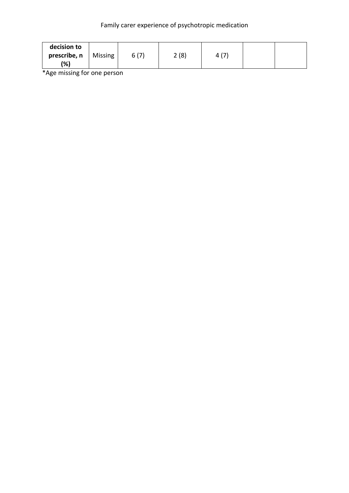| decision to<br>prescribe, n<br>Missing<br>(%) | 6(7) | 2(8) | $\overline{ }$<br>4 |  |  |
|-----------------------------------------------|------|------|---------------------|--|--|
|-----------------------------------------------|------|------|---------------------|--|--|

\*Age missing for one person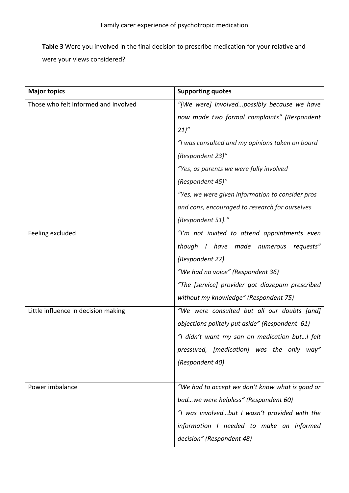**Table 3** Were you involved in the final decision to prescribe medication for your relative and were your views considered?

| <b>Major topics</b>                  | <b>Supporting quotes</b>                         |
|--------------------------------------|--------------------------------------------------|
| Those who felt informed and involved | "[We were] involvedpossibly because we have      |
|                                      | now made two formal complaints" (Respondent      |
|                                      | 21)''                                            |
|                                      | "I was consulted and my opinions taken on board  |
|                                      | (Respondent 23)"                                 |
|                                      | "Yes, as parents we were fully involved          |
|                                      | (Respondent 45)"                                 |
|                                      | "Yes, we were given information to consider pros |
|                                      | and cons, encouraged to research for ourselves   |
|                                      | (Respondent 51)."                                |
| Feeling excluded                     | "I'm not invited to attend appointments even     |
|                                      | though I have made numerous<br>requests"         |
|                                      | (Respondent 27)                                  |
|                                      | "We had no voice" (Respondent 36)                |
|                                      | "The [service] provider got diazepam prescribed  |
|                                      | without my knowledge" (Respondent 75)            |
| Little influence in decision making  | "We were consulted but all our doubts [and]      |
|                                      | objections politely put aside" (Respondent 61)   |
|                                      | "I didn't want my son on medication butI felt    |
|                                      | pressured, [medication] was the only<br>way"     |
|                                      | (Respondent 40)                                  |
|                                      |                                                  |
| Power imbalance                      | "We had to accept we don't know what is good or  |
|                                      | badwe were helpless" (Respondent 60)             |
|                                      | "I was involvedbut I wasn't provided with the    |
|                                      | information I needed to make an informed         |
|                                      | decision" (Respondent 48)                        |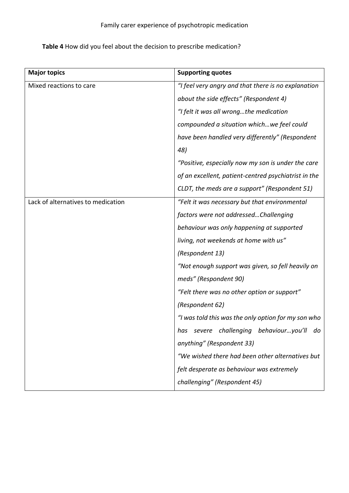# **Table 4** How did you feel about the decision to prescribe medication?

| <b>Major topics</b>                | <b>Supporting quotes</b>                             |
|------------------------------------|------------------------------------------------------|
| Mixed reactions to care            | "I feel very angry and that there is no explanation  |
|                                    | about the side effects" (Respondent 4)               |
|                                    | "I felt it was all wrongthe medication               |
|                                    | compounded a situation whichwe feel could            |
|                                    | have been handled very differently" (Respondent      |
|                                    | 48)                                                  |
|                                    | "Positive, especially now my son is under the care   |
|                                    | of an excellent, patient-centred psychiatrist in the |
|                                    | CLDT, the meds are a support" (Respondent 51)        |
| Lack of alternatives to medication | "Felt it was necessary but that environmental        |
|                                    | factors were not addressedChallenging                |
|                                    | behaviour was only happening at supported            |
|                                    | living, not weekends at home with us"                |
|                                    | (Respondent 13)                                      |
|                                    | "Not enough support was given, so fell heavily on    |
|                                    | meds" (Respondent 90)                                |
|                                    | "Felt there was no other option or support"          |
|                                    | (Respondent 62)                                      |
|                                    | "I was told this was the only option for my son who  |
|                                    | severe challenging behaviouryou'll<br>nas<br>do      |
|                                    | anything" (Respondent 33)                            |
|                                    | "We wished there had been other alternatives but     |
|                                    | felt desperate as behaviour was extremely            |
|                                    | challenging" (Respondent 45)                         |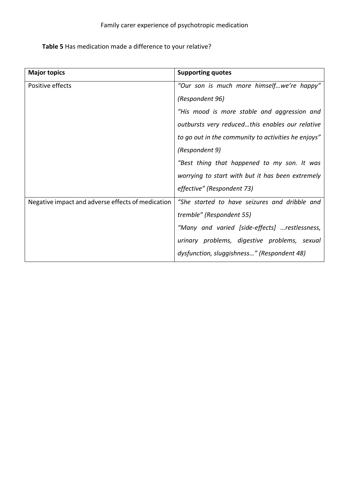# **Table 5** Has medication made a difference to your relative?

| <b>Major topics</b>                               | <b>Supporting quotes</b>                            |
|---------------------------------------------------|-----------------------------------------------------|
| Positive effects                                  | "Our son is much more himselfwe're happy"           |
|                                                   | (Respondent 96)                                     |
|                                                   | "His mood is more stable and aggression and         |
|                                                   | outbursts very reducedthis enables our relative     |
|                                                   | to go out in the community to activities he enjoys" |
|                                                   | (Respondent 9)                                      |
|                                                   | "Best thing that happened to my son. It was         |
|                                                   | worrying to start with but it has been extremely    |
|                                                   | effective" (Respondent 73)                          |
| Negative impact and adverse effects of medication | "She started to have seizures and dribble and       |
|                                                   | tremble" (Respondent 55)                            |
|                                                   | "Many and varied [side-effects] restlessness,       |
|                                                   | urinary problems, digestive problems, sexual        |
|                                                   | dysfunction, sluggishness" (Respondent 48)          |
|                                                   |                                                     |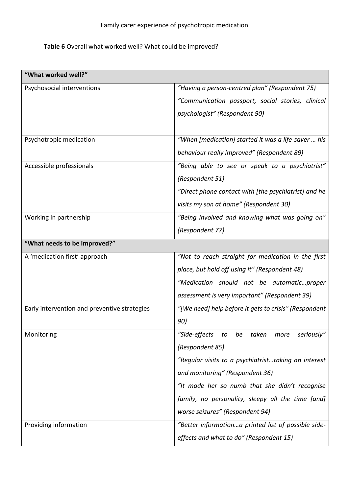## **Table 6** Overall what worked well? What could be improved?

| "What worked well?"                          |                                                       |
|----------------------------------------------|-------------------------------------------------------|
| Psychosocial interventions                   | "Having a person-centred plan" (Respondent 75)        |
|                                              | "Communication passport, social stories, clinical     |
|                                              | psychologist" (Respondent 90)                         |
|                                              |                                                       |
| Psychotropic medication                      | "When [medication] started it was a life-saver  his   |
|                                              | behaviour really improved" (Respondent 89)            |
| Accessible professionals                     | "Being able to see or speak to a psychiatrist"        |
|                                              | (Respondent 51)                                       |
|                                              | "Direct phone contact with [the psychiatrist] and he  |
|                                              | visits my son at home" (Respondent 30)                |
| Working in partnership                       | "Being involved and knowing what was going on"        |
|                                              | (Respondent 77)                                       |
| "What needs to be improved?"                 |                                                       |
| A 'medication first' approach                | "Not to reach straight for medication in the first    |
|                                              | place, but hold off using it" (Respondent 48)         |
|                                              | "Medication should not be automaticproper             |
|                                              | assessment is very important" (Respondent 39)         |
| Early intervention and preventive strategies | "[We need] help before it gets to crisis" (Respondent |
|                                              | 90)                                                   |
| Monitoring                                   | "Side-effects<br>to be taken<br>seriously"<br>more    |
|                                              | (Respondent 85)                                       |
|                                              | "Regular visits to a psychiatristtaking an interest   |
|                                              | and monitoring" (Respondent 36)                       |
|                                              | "It made her so numb that she didn't recognise        |
|                                              | family, no personality, sleepy all the time [and]     |
|                                              | worse seizures" (Respondent 94)                       |
| Providing information                        | "Better informationa printed list of possible side-   |
|                                              | effects and what to do" (Respondent 15)               |